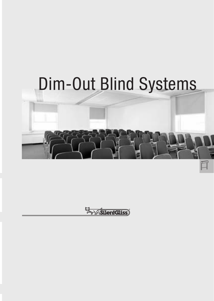# Dim-Out Blind Systems



**Execution**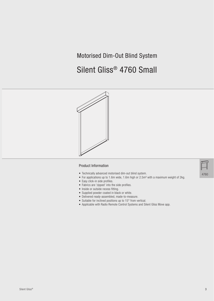# Motorised Dim-Out Blind System

# Silent Gliss® 4760 Small



#### Product Information

- Technically advanced motorised dim-out blind system.
- For applications up to 1.6m wide, 1.6m high or 2.5m² with a maximum weight of 2kg.
- Easy click-in side profiles.
- Fabrics are 'zipped' into the side profiles.
- Inside or outside recess fitting.
- Supplied powder coated in black or white.
- Delivered ready-assembled, made-to-measure.
- Suitable for inclined positions up to 15° from vertical.
- Applicable with Radio Remote Control Systems and Silent Gliss Move app.

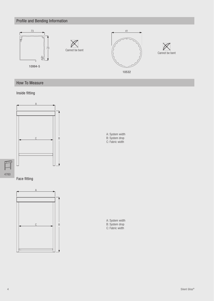# Profile and Bending Information



# How To Measure

#### Inside fitting



4760

 $\mathbb{F}$ 



A: System width B: System drop C: Fabric width

A: System width B: System drop C: Fabric width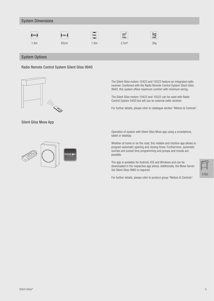#### System Dimensions  $m<sup>2</sup>$  max. kg<br>max.  $\binom{max}{ }$  $\mathsf{m}$ in max. 1.6m 65cm 1.6m 2.5m² 2kg

### System Options





Silent Gliss Move App



The Silent Gliss motors 10423 and 10523 feature an integrated radio receiver. Combined with the Radio Remote Control System Silent Gliss 9940, this system offers maximum comfort with minimum wiring.

The Silent Gliss motors 10422 and 10522 can be used with Radio Control System 0450 but will use an external radio receiver.

For further details, please refer to catalogue section "Motors & Controls".

Operation of system with Silent Gliss Move app using a smartphone, tablet or desktop.

Whether at home or on the road, this reliable and intuitive app allows to program automatic opening and closing times. Furthermore, automatic sunrise and sunset time programming and groups and moods are possible.

The app is available for Android, IOS and Windows and can be downloaded in the respective app stores. Additionally, the Move Server Set Silent Gliss 9960 is required.

For further details, please refer to product group "Motors & Controls".

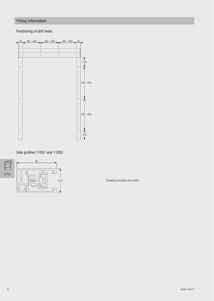# Fitting Information

# Positioning of drill holes



Side profiles 11001 and 11002





24.5 Drawing includes zip profile.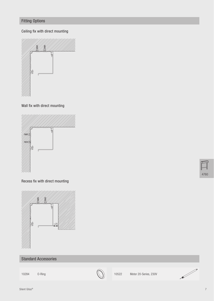# Fitting Options

## Ceiling fix with direct mounting



Wall fix with direct mounting



Recess fix with direct mounting



# Standard Accessories



10284 O-Ring 10522 Motor 20-Series, 230V

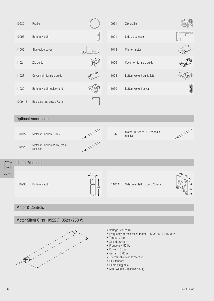|      | 10532                                    | Profile                                  |                        | 10961                                                                                                                                                                                                                                                                    | Zip profile                               | ig<br>Si |  |
|------|------------------------------------------|------------------------------------------|------------------------|--------------------------------------------------------------------------------------------------------------------------------------------------------------------------------------------------------------------------------------------------------------------------|-------------------------------------------|----------|--|
|      | 10993                                    | Bottom weight                            |                        | 11001                                                                                                                                                                                                                                                                    | Side guide case                           | ⊑ೌ       |  |
|      | 11002                                    | Side guide cover                         | βLη                    | 11013                                                                                                                                                                                                                                                                    | Clip for motor                            |          |  |
|      | 11024                                    | Zip guide                                |                        | 11026                                                                                                                                                                                                                                                                    | Cover left for side guide                 |          |  |
|      | 11027                                    | Cover right for side guide               |                        | 11028                                                                                                                                                                                                                                                                    | Bottom weight guide left                  |          |  |
|      | 11029                                    | Bottom weight guide right                |                        | 11030                                                                                                                                                                                                                                                                    | Bottom weight cover                       | 88.29    |  |
|      | 10994-5                                  | Box case and cover, 73 mm                |                        |                                                                                                                                                                                                                                                                          |                                           |          |  |
|      | <b>Optional Accessories</b>              |                                          |                        |                                                                                                                                                                                                                                                                          |                                           |          |  |
|      | 10422                                    | Motor 20-Series, 120 V                   |                        | 10423                                                                                                                                                                                                                                                                    | Motor 20-Series, 120 V, radio<br>receiver |          |  |
|      | 10523                                    | Motor 20-Series, 230V, radio<br>receiver |                        |                                                                                                                                                                                                                                                                          |                                           |          |  |
|      | <b>Useful Measures</b>                   |                                          |                        |                                                                                                                                                                                                                                                                          |                                           |          |  |
| 4760 | 10993                                    | Bottom weight                            | $\frac{12.5}{1}$<br>40 | 11004                                                                                                                                                                                                                                                                    | Side cover left for box, 73 mm            |          |  |
|      | <b>Motor &amp; Controls</b>              |                                          |                        |                                                                                                                                                                                                                                                                          |                                           |          |  |
|      | Motor Silent Gliss 10522 / 10523 (230 V) |                                          |                        |                                                                                                                                                                                                                                                                          |                                           |          |  |
|      | · Voltage: 230 V AC                      |                                          |                        |                                                                                                                                                                                                                                                                          |                                           |          |  |
|      | 545                                      |                                          |                        | • Frequency of receiver of motor 10523: 868 / 915 MHz<br>• Torque: 3 Nm<br>• Speed: 30 rpm<br>• Frequency: 50 Hz<br>$\bullet$ Power: 135 W<br>• Current: 0.60 A<br>• Thermal Overload Protection<br>• CE Standard<br>• Cable pluggable<br>• Max. Weight Capacity: 7.5 kg |                                           |          |  |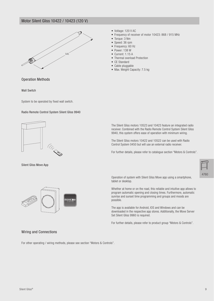## Motor Silent Gliss 10422 / 10423 (120 V)



- Voltage: 120 V AC
- Frequency of receiver of motor 10423: 868 / 915 MHz
- Torque: 3 Nm
- Speed: 36 rpm
- Frequency: 60 Hz
- Power: 138 W
- Current: 1.15 A
- Thermal overload Protection
- CE Standard
- Cable pluggable
- Max. Weight Capacity: 7.5 kg

#### Operation Methods

Wall Switch

System to be operated by fixed wall switch.

#### Radio Remote Control System Silent Gliss 9940



Silent Gliss Move App



#### The Silent Gliss motors 10523 and 10423 feature an integrated radio receiver. Combined with the Radio Remote Control System Silent Gliss 9940, this system offers ease of operation with minimum wiring.

The Silent Gliss motors 10422 and 10522 can be used with Radio Control System 0450 but will use an external radio receiver.

For further details, please refer to catalogue section "Motors & Controls".

| 4<br>-76 |  |
|----------|--|

Operation of system with Silent Gliss Move app using a smartphone, tablet or desktop.

Whether at home or on the road, this reliable and intuitive app allows to program automatic opening and closing times. Furthermore, automatic sunrise and sunset time programming and groups and moods are possible.

The app is available for Android, IOS and Windows and can be downloaded in the respective app stores. Additionally, the Move Server Set Silent Gliss 9960 is required.

For further details, please refer to product group "Motors & Controls".

#### Wiring and Connections

For other operating / wiring methods, please see section "Motors & Controls".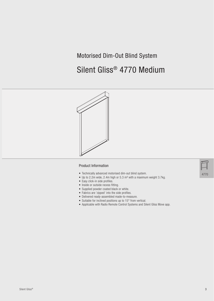# Motorised Dim-Out Blind System

# Silent Gliss® 4770 Medium



#### Product Information

- Technically advanced motorised dim-out blind system.
- Up to 2.2m wide, 2.4m high or 5.3 m² with a maximum weight 3.7kg.
- Easy click-in side profiles.
- Inside or outside recess fitting.
- Supplied powder coated black or white.
- Fabrics are 'zipped' into the side profiles.
- Delivered ready-assembled made-to-measure.
- Suitable for inclined positions up to 15° from vertical.
- Applicable with Radio Remote Control Systems and Silent Gliss Move app.

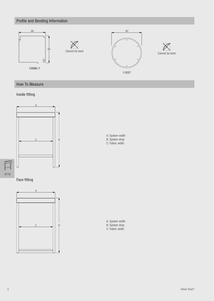# Profile and Bending Information



# How To Measure

# Inside fitting



4770

 $\mathbb{F}$ 

Face fitting



A: System width B: System drop C: Fabric width

A: System width B: System drop C: Fabric width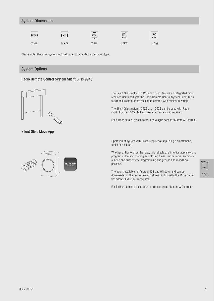#### System Dimensions



 $\mathbf{\triangleright}$  min.  $2.2$ m 65cm 66cm  $2.4$ m 5.3m² 3.7kg



max.





Please note: The max. system width/drop also depends on the fabric type.

#### System Options

#### Radio Remote Control System Silent Gliss 9940



Silent Gliss Move App



The Silent Gliss motors 10423 and 10523 feature an integrated radio receiver. Combined with the Radio Remote Control System Silent Gliss 9940, this system offers maximum comfort with minimum wiring.

The Silent Gliss motors 10422 and 10522 can be used with Radio Control System 0450 but will use an external radio receiver.

For further details, please refer to catalogue section "Motors & Controls".

Operation of system with Silent Gliss Move app using a smartphone, tablet or desktop.

Whether at home or on the road, this reliable and intuitive app allows to program automatic opening and closing times. Furthermore, automatic sunrise and sunset time programming and groups and moods are possible.

The app is available for Android, IOS and Windows and can be downloaded in the respective app stores. Additionally, the Move Server Set Silent Gliss 9960 is required.

For further details, please refer to product group "Motors & Controls".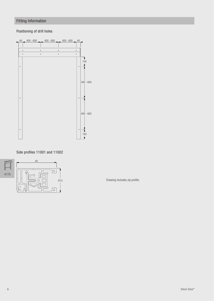# Fitting Information

# Positioning of drill holes



Side profiles 11001 and 11002



24.5 Drawing includes zip profile.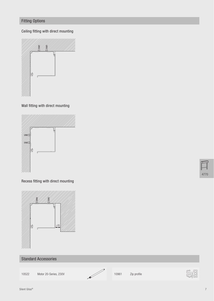# Fitting Options

Ceiling fitting with direct mounting



Wall fitting with direct mounting



Recess fitting with direct mounting



# Standard Accessories



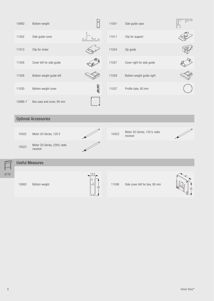| 10993   | Bottom weight                            |               | 11001 | Side guide case                           | ਸ਼ੀ |  |
|---------|------------------------------------------|---------------|-------|-------------------------------------------|-----|--|
| 11002   | Side guide cover                         |               | 11011 | Clip for support                          |     |  |
| 11013   | Clip for motor                           |               | 11024 | Zip guide                                 |     |  |
| 11026   | Cover left for side guide                |               | 11027 | Cover right for side guide                |     |  |
| 11028   | Bottom weight guide left                 |               | 11029 | Bottom weight guide right                 |     |  |
| 11030   | Bottom weight cover                      | <b>BATTAD</b> | 11037 | Profile tube, 60 mm                       |     |  |
| 10996-7 | Box case and cover, 90 mm                |               |       |                                           |     |  |
|         | <b>Optional Accessories</b>              |               |       |                                           |     |  |
| 10422   | Motor 20-Series, 120 V                   |               | 10423 | Motor 20-Series, 120 V, radio<br>receiver |     |  |
|         |                                          |               |       |                                           |     |  |
| 10523   | Motor 20-Series, 230V, radio<br>receiver |               |       |                                           |     |  |
|         | <b>Useful Measures</b>                   |               |       |                                           |     |  |

4770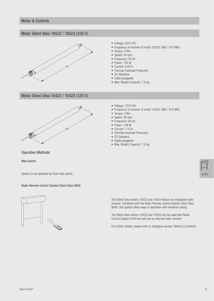#### Motor Silent Gliss 10522 / 10523 (230 V)



- Voltage: 230 V AC
- Frequency of receiver of motor 10523: 868 / 915 MHz
- Torque: 3 Nm
- Speed: 30 rpm
- Frequency: 50 Hz
- Power: 135 W
- Current: 0.60 A
- Thermal Overload Protection
- CE Standard
- Cable pluggable
- Max. Weight Capacity: 7.5 kg

### Motor Silent Gliss 10422 / 10423 (120 V)



- Voltage: 120 V AC
- Frequency of receiver of motor 10423: 868 / 915 MHz
- Torque: 3 Nm
- Speed: 36 rpm
- Frequency: 60 Hz
- Power: 138 W
- Current: 1.15 A
- Thermal overload Protection
- CE Standard
- Cable pluggable
- Max. Weight Capacity: 7.5 kg

Operation Methods

Wall Switch

System to be operated by fixed wall switch.

#### Radio Remote Control System Silent Gliss 9940



The Silent Gliss motors 10523 and 10423 feature an integrated radio receiver. Combined with the Radio Remote Control System Silent Gliss 9940, this system offers ease of operation with minimum wiring.

The Silent Gliss motors 10422 and 10522 can be used with Radio Control System 0450 but will use an external radio receiver.

For further details, please refer to catalogue section "Motors & Controls".

4770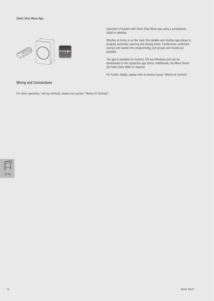

Operation of system with Silent Gliss Move app using a smartphone, tablet or desktop.

Whether at home or on the road, this reliable and intuitive app allows to program automatic opening and closing times. Furthermore, automatic sunrise and sunset time programming and groups and moods are possible.

The app is available for Android, IOS and Windows and can be downloaded in the respective app stores. Additionally, the Move Server Set Silent Gliss 9960 is required.

For further details, please refer to product group "Motors & Controls".

#### Wiring and Connections

For other operating / wiring methods, please see section "Motors & Controls".

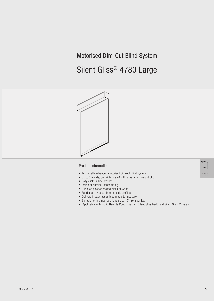# Motorised Dim-Out Blind System

# Silent Gliss® 4780 Large



#### Product Information

- Technically advanced motorised dim-out blind system.
- Up to 3m wide, 3m high or 9m² with a maximum weight of 6kg.
- Easy click-in side profiles.
- Inside or outside recess fitting.
- Supplied powder coated black or white.
- Fabrics are 'zipped' into the side profiles.
- Delivered ready-assembled made-to-measure.
- Suitable for inclined positions up to 15° from vertical.
- Applicable with Radio Remote Control System Silent Gliss 9940 and Silent Gliss Move app.



4780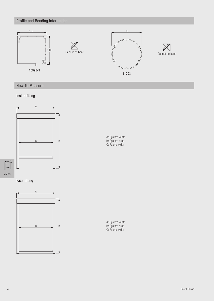# Profile and Bending Information



# How To Measure

## Inside fitting



4780

 $\mathbb{I}$ 





A: System width B: System drop C: Fabric width

A: System width B: System drop C: Fabric width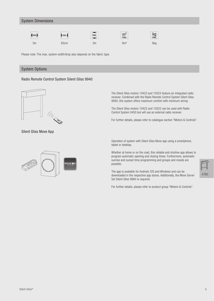#### System Dimensions











Please note: The max. system width/drop also depends on the fabric type.

#### System Options

#### Radio Remote Control System Silent Gliss 9940



Silent Gliss Move App



The Silent Gliss motors 10423 and 10523 feature an integrated radio receiver. Combined with the Radio Remote Control System Silent Gliss 9940, this system offers maximum comfort with minimum wiring.

The Silent Gliss motors 10422 and 10522 can be used with Radio Control System 0450 but will use an external radio receiver.

For further details, please refer to catalogue section "Motors & Controls".

Operation of system with Silent Gliss Move app using a smartphone, tablet or desktop.

Whether at home or on the road, this reliable and intuitive app allows to program automatic opening and closing times. Furthermore, automatic sunrise and sunset time programming and groups and moods are possible.

The app is available for Android, IOS and Windows and can be downloaded in the respective app stores. Additionally, the Move Server Set Silent Gliss 9960 is required.

For further details, please refer to product group "Motors & Controls".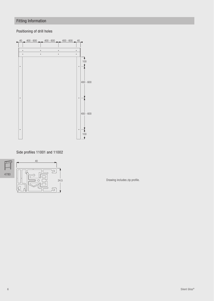# Fitting Information

# Positioning of drill holes



Side profiles 11001 and 11002



24.5 Drawing includes zip profile.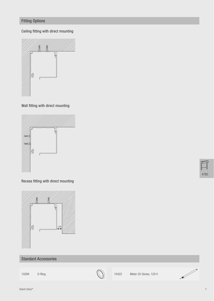# Fitting Options

Ceiling fitting with direct mounting



Wall fitting with direct mounting



Recess fitting with direct mounting



# Standard Accessories



10284 O-Ring 10422 Motor 20-Series, 120 V

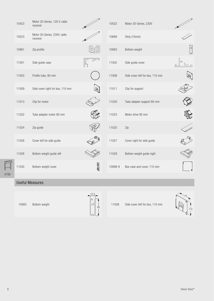| 10423 | Motor 20-Series, 120 V, radio<br>receiver |           | 10522   | Motor 20-Series, 230V           |              |
|-------|-------------------------------------------|-----------|---------|---------------------------------|--------------|
| 10523 | Motor 20-Series, 230V, radio<br>receiver  |           | 10668   | Strip (10mm)                    |              |
| 10961 | Zip profile                               | E-a<br>Gi | 10993   | Bottom weight                   | $\mathbb{P}$ |
| 11001 | Side guide case                           |           | 11002   | Side guide cover                |              |
| 11003 | Profile tube, 80 mm                       |           | 11008   | Side cover left for box, 110 mm |              |
| 11009 | Side cover right for box, 110 mm          |           | 11011   | Clip for support                |              |
| 11013 | Clip for motor                            |           | 11020   | Tube adapter support 80 mm      |              |
| 11022 | Tube adapter motor 80 mm                  |           | 11023   | Motor drive 80 mm               |              |
| 11024 | Zip guide                                 |           | 11025   | Zip                             |              |
| 11026 | Cover left for side guide                 |           | 11027   | Cover right for side guide      |              |
| 11028 | Bottom weight guide left                  |           | 11029   | Bottom weight guide right       |              |
| 11030 | Bottom weight cover                       | 00 00     | 10998-9 | Box case and cover, 110 mm      |              |
|       |                                           |           |         |                                 |              |

# Useful Measures

4780

 $\Box$ 

10993 Bottom weight



11008 Side cover left for box, 110 mm

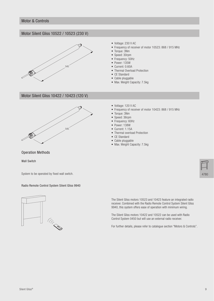#### Motor Silent Gliss 10522 / 10523 (230 V)



- Voltage: 230 V AC
- Frequency of receiver of motor 10523: 868 / 915 MHz
- Torque: 3Nm
- Speed: 30rpm
- Frequency: 50Hz
- Power: 135W
- Current: 0.60A
- Thermal Overload Protection
- CE Standard
- Cable pluggable
- Max. Weight Capacity: 7.5kg

### Motor Silent Gliss 10422 / 10423 (120 V)



- Voltage: 120 V AC
- Frequency of receiver of motor 10423: 868 / 915 MHz
- Torque: 3Nm
- Speed: 36rpm
- Frequency: 60Hz
- Power: 138W
- Current: 1.15A
- Thermal overload Protection
- CE Standard
- Cable pluggable
- Max. Weight Capacity: 7.5kg

Operation Methods

Wall Switch

System to be operated by fixed wall switch.

#### Radio Remote Control System Silent Gliss 9940



The Silent Gliss motors 10523 and 10423 feature an integrated radio receiver. Combined with the Radio Remote Control System Silent Gliss 9940, this system offers ease of operation with minimum wiring.

The Silent Gliss motors 10422 and 10522 can be used with Radio Control System 0450 but will use an external radio receiver.

For further details, please refer to catalogue section "Motors & Controls".

4780